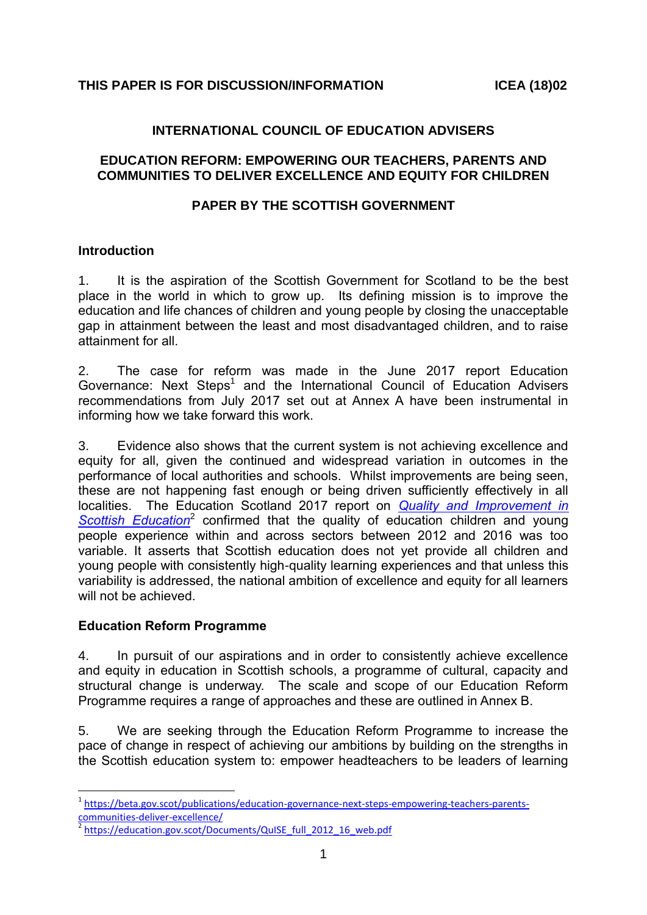### **INTERNATIONAL COUNCIL OF EDUCATION ADVISERS**

#### **EDUCATION REFORM: EMPOWERING OUR TEACHERS, PARENTS AND COMMUNITIES TO DELIVER EXCELLENCE AND EQUITY FOR CHILDREN**

### **PAPER BY THE SCOTTISH GOVERNMENT**

#### **Introduction**

1. It is the aspiration of the Scottish Government for Scotland to be the best place in the world in which to grow up. Its defining mission is to improve the education and life chances of children and young people by closing the unacceptable gap in attainment between the least and most disadvantaged children, and to raise attainment for all.

2. The case for reform was made in the June 2017 report Education Governance: Next Steps<sup>1</sup> and the International Council of Education Advisers recommendations from July 2017 set out at Annex A have been instrumental in informing how we take forward this work.

3. Evidence also shows that the current system is not achieving excellence and equity for all, given the continued and widespread variation in outcomes in the performance of local authorities and schools. Whilst improvements are being seen, these are not happening fast enough or being driven sufficiently effectively in all localities. The Education Scotland 2017 report on *[Quality and Improvement in](https://education.gov.scot/Documents/QuISE_full_2012_16_web.pdf)*  [Scottish Education](https://education.gov.scot/Documents/QuISE_full_2012_16_web.pdf)<sup>2</sup> confirmed that the quality of education children and young people experience within and across sectors between 2012 and 2016 was too variable. It asserts that Scottish education does not yet provide all children and young people with consistently high-quality learning experiences and that unless this variability is addressed, the national ambition of excellence and equity for all learners will not be achieved.

#### **Education Reform Programme**

1

4. In pursuit of our aspirations and in order to consistently achieve excellence and equity in education in Scottish schools, a programme of cultural, capacity and structural change is underway. The scale and scope of our Education Reform Programme requires a range of approaches and these are outlined in Annex B.

5. We are seeking through the Education Reform Programme to increase the pace of change in respect of achieving our ambitions by building on the strengths in the Scottish education system to: empower headteachers to be leaders of learning

<sup>&</sup>lt;sup>1</sup> [https://beta.gov.scot/publications/education-governance-next-steps-empowering-teachers-parents](https://beta.gov.scot/publications/education-governance-next-steps-empowering-teachers-parents-communities-deliver-excellence/)[communities-deliver-excellence/](https://beta.gov.scot/publications/education-governance-next-steps-empowering-teachers-parents-communities-deliver-excellence/)

<sup>&</sup>lt;sup>2</sup> [https://education.gov.scot/Documents/QuISE\\_full\\_2012\\_16\\_web.pdf](https://education.gov.scot/Documents/QuISE_full_2012_16_web.pdf)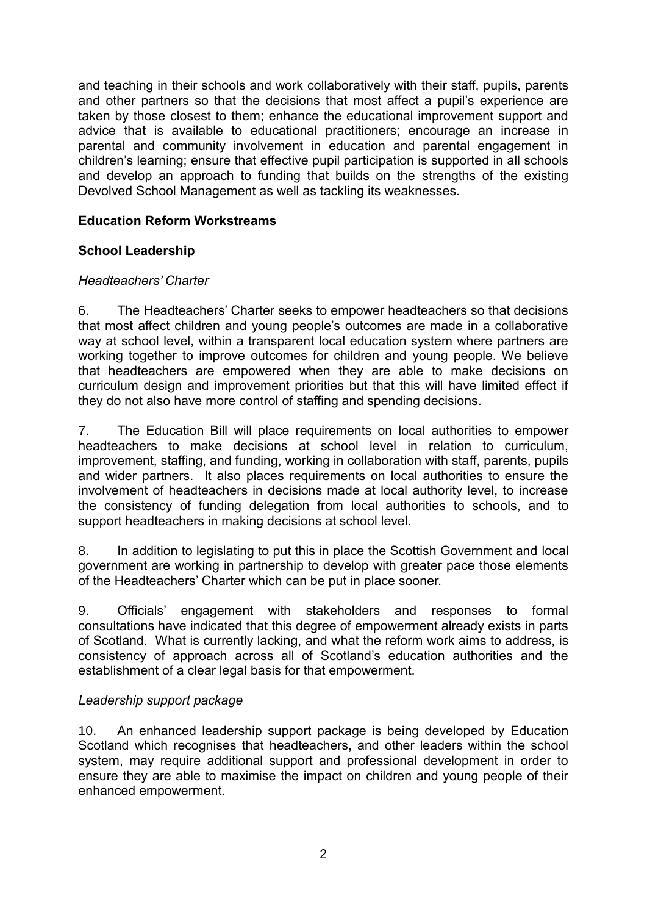and teaching in their schools and work collaboratively with their staff, pupils, parents and other partners so that the decisions that most affect a pupil's experience are taken by those closest to them; enhance the educational improvement support and advice that is available to educational practitioners; encourage an increase in parental and community involvement in education and parental engagement in children's learning; ensure that effective pupil participation is supported in all schools and develop an approach to funding that builds on the strengths of the existing Devolved School Management as well as tackling its weaknesses.

## **Education Reform Workstreams**

# **School Leadership**

### *Headteachers' Charter*

6. The Headteachers' Charter seeks to empower headteachers so that decisions that most affect children and young people's outcomes are made in a collaborative way at school level, within a transparent local education system where partners are working together to improve outcomes for children and young people. We believe that headteachers are empowered when they are able to make decisions on curriculum design and improvement priorities but that this will have limited effect if they do not also have more control of staffing and spending decisions.

7. The Education Bill will place requirements on local authorities to empower headteachers to make decisions at school level in relation to curriculum, improvement, staffing, and funding, working in collaboration with staff, parents, pupils and wider partners. It also places requirements on local authorities to ensure the involvement of headteachers in decisions made at local authority level, to increase the consistency of funding delegation from local authorities to schools, and to support headteachers in making decisions at school level.

8. In addition to legislating to put this in place the Scottish Government and local government are working in partnership to develop with greater pace those elements of the Headteachers' Charter which can be put in place sooner.

9. Officials' engagement with stakeholders and responses to formal consultations have indicated that this degree of empowerment already exists in parts of Scotland. What is currently lacking, and what the reform work aims to address, is consistency of approach across all of Scotland's education authorities and the establishment of a clear legal basis for that empowerment.

## *Leadership support package*

10. An enhanced leadership support package is being developed by Education Scotland which recognises that headteachers, and other leaders within the school system, may require additional support and professional development in order to ensure they are able to maximise the impact on children and young people of their enhanced empowerment.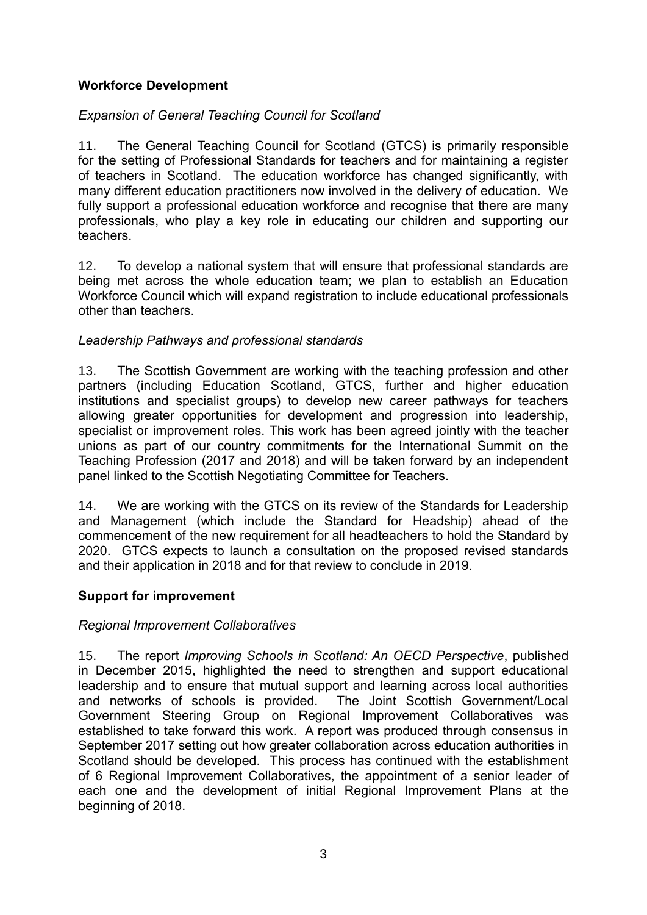## **Workforce Development**

# *Expansion of General Teaching Council for Scotland*

11. The General Teaching Council for Scotland (GTCS) is primarily responsible for the setting of Professional Standards for teachers and for maintaining a register of teachers in Scotland. The education workforce has changed significantly, with many different education practitioners now involved in the delivery of education. We fully support a professional education workforce and recognise that there are many professionals, who play a key role in educating our children and supporting our teachers.

12. To develop a national system that will ensure that professional standards are being met across the whole education team; we plan to establish an Education Workforce Council which will expand registration to include educational professionals other than teachers.

## *Leadership Pathways and professional standards*

13. The Scottish Government are working with the teaching profession and other partners (including Education Scotland, GTCS, further and higher education institutions and specialist groups) to develop new career pathways for teachers allowing greater opportunities for development and progression into leadership, specialist or improvement roles. This work has been agreed jointly with the teacher unions as part of our country commitments for the International Summit on the Teaching Profession (2017 and 2018) and will be taken forward by an independent panel linked to the Scottish Negotiating Committee for Teachers.

14. We are working with the GTCS on its review of the Standards for Leadership and Management (which include the Standard for Headship) ahead of the commencement of the new requirement for all headteachers to hold the Standard by 2020. GTCS expects to launch a consultation on the proposed revised standards and their application in 2018 and for that review to conclude in 2019.

## **Support for improvement**

#### *Regional Improvement Collaboratives*

15. The report *Improving Schools in Scotland: An OECD Perspective*, published in December 2015, highlighted the need to strengthen and support educational leadership and to ensure that mutual support and learning across local authorities and networks of schools is provided. The Joint Scottish Government/Local Government Steering Group on Regional Improvement Collaboratives was established to take forward this work. A report was produced through consensus in September 2017 setting out how greater collaboration across education authorities in Scotland should be developed. This process has continued with the establishment of 6 Regional Improvement Collaboratives, the appointment of a senior leader of each one and the development of initial Regional Improvement Plans at the beginning of 2018.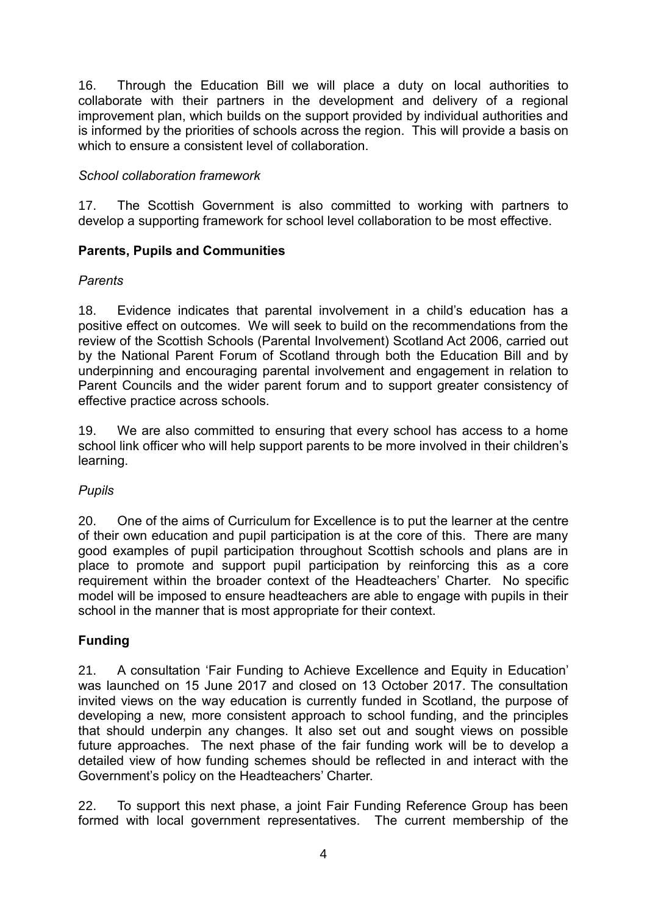16. Through the Education Bill we will place a duty on local authorities to collaborate with their partners in the development and delivery of a regional improvement plan, which builds on the support provided by individual authorities and is informed by the priorities of schools across the region. This will provide a basis on which to ensure a consistent level of collaboration.

## *School collaboration framework*

17. The Scottish Government is also committed to working with partners to develop a supporting framework for school level collaboration to be most effective.

# **Parents, Pupils and Communities**

## *Parents*

18. Evidence indicates that parental involvement in a child's education has a positive effect on outcomes. We will seek to build on the recommendations from the review of the Scottish Schools (Parental Involvement) Scotland Act 2006, carried out by the National Parent Forum of Scotland through both the Education Bill and by underpinning and encouraging parental involvement and engagement in relation to Parent Councils and the wider parent forum and to support greater consistency of effective practice across schools.

19. We are also committed to ensuring that every school has access to a home school link officer who will help support parents to be more involved in their children's learning.

## *Pupils*

20. One of the aims of Curriculum for Excellence is to put the learner at the centre of their own education and pupil participation is at the core of this. There are many good examples of pupil participation throughout Scottish schools and plans are in place to promote and support pupil participation by reinforcing this as a core requirement within the broader context of the Headteachers' Charter. No specific model will be imposed to ensure headteachers are able to engage with pupils in their school in the manner that is most appropriate for their context.

# **Funding**

21. A consultation 'Fair Funding to Achieve Excellence and Equity in Education' was launched on 15 June 2017 and closed on 13 October 2017. The consultation invited views on the way education is currently funded in Scotland, the purpose of developing a new, more consistent approach to school funding, and the principles that should underpin any changes. It also set out and sought views on possible future approaches. The next phase of the fair funding work will be to develop a detailed view of how funding schemes should be reflected in and interact with the Government's policy on the Headteachers' Charter.

22. To support this next phase, a joint Fair Funding Reference Group has been formed with local government representatives. The current membership of the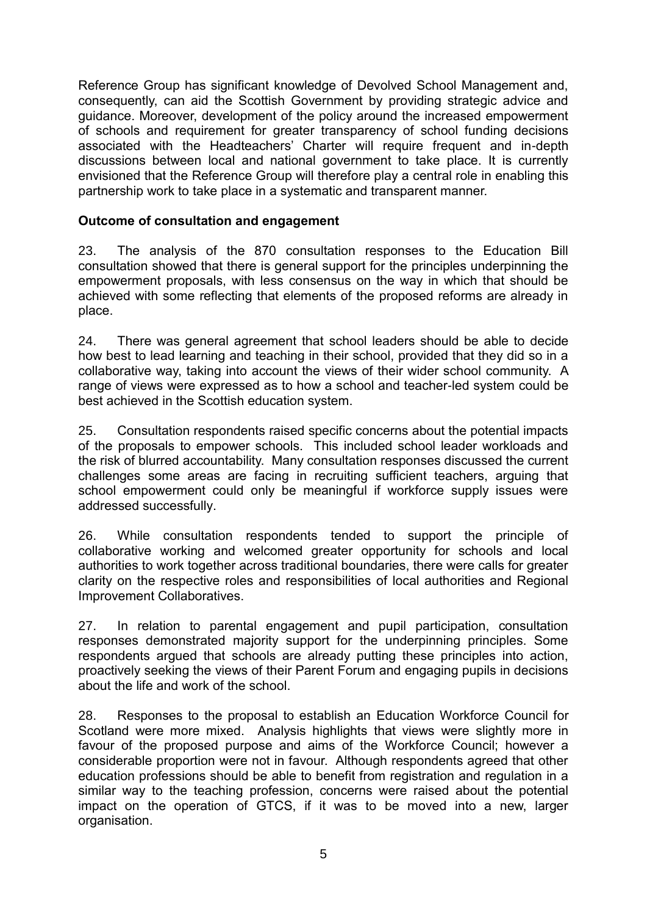Reference Group has significant knowledge of Devolved School Management and, consequently, can aid the Scottish Government by providing strategic advice and guidance. Moreover, development of the policy around the increased empowerment of schools and requirement for greater transparency of school funding decisions associated with the Headteachers' Charter will require frequent and in-depth discussions between local and national government to take place. It is currently envisioned that the Reference Group will therefore play a central role in enabling this partnership work to take place in a systematic and transparent manner.

### **Outcome of consultation and engagement**

23. The analysis of the 870 consultation responses to the Education Bill consultation showed that there is general support for the principles underpinning the empowerment proposals, with less consensus on the way in which that should be achieved with some reflecting that elements of the proposed reforms are already in place.

24. There was general agreement that school leaders should be able to decide how best to lead learning and teaching in their school, provided that they did so in a collaborative way, taking into account the views of their wider school community. A range of views were expressed as to how a school and teacher-led system could be best achieved in the Scottish education system.

25. Consultation respondents raised specific concerns about the potential impacts of the proposals to empower schools. This included school leader workloads and the risk of blurred accountability. Many consultation responses discussed the current challenges some areas are facing in recruiting sufficient teachers, arguing that school empowerment could only be meaningful if workforce supply issues were addressed successfully.

26. While consultation respondents tended to support the principle of collaborative working and welcomed greater opportunity for schools and local authorities to work together across traditional boundaries, there were calls for greater clarity on the respective roles and responsibilities of local authorities and Regional Improvement Collaboratives.

27. In relation to parental engagement and pupil participation, consultation responses demonstrated majority support for the underpinning principles. Some respondents argued that schools are already putting these principles into action, proactively seeking the views of their Parent Forum and engaging pupils in decisions about the life and work of the school.

28. Responses to the proposal to establish an Education Workforce Council for Scotland were more mixed. Analysis highlights that views were slightly more in favour of the proposed purpose and aims of the Workforce Council; however a considerable proportion were not in favour. Although respondents agreed that other education professions should be able to benefit from registration and regulation in a similar way to the teaching profession, concerns were raised about the potential impact on the operation of GTCS, if it was to be moved into a new, larger organisation.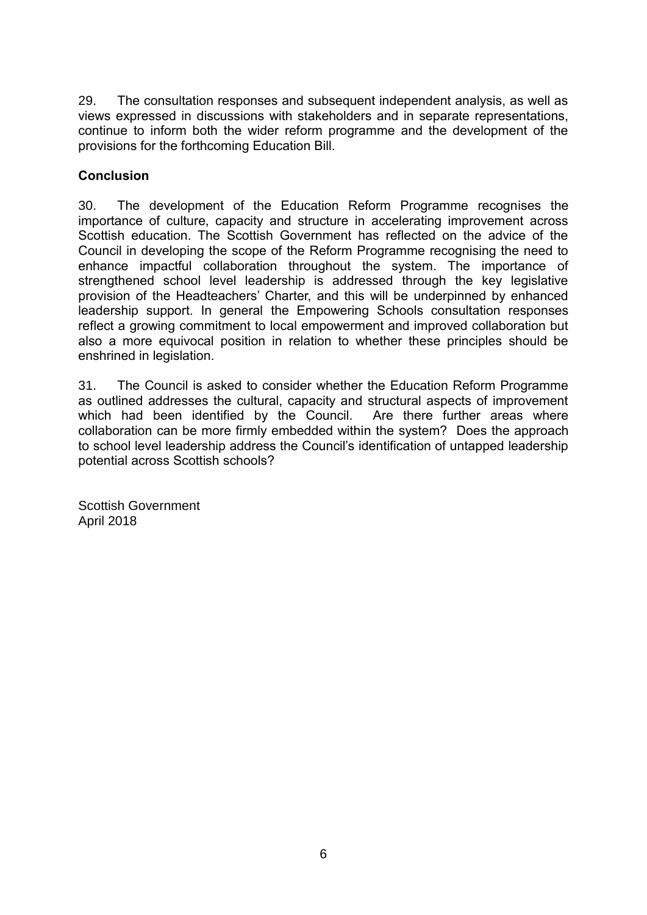29. The consultation responses and subsequent independent analysis, as well as views expressed in discussions with stakeholders and in separate representations, continue to inform both the wider reform programme and the development of the provisions for the forthcoming Education Bill.

## **Conclusion**

30. The development of the Education Reform Programme recognises the importance of culture, capacity and structure in accelerating improvement across Scottish education. The Scottish Government has reflected on the advice of the Council in developing the scope of the Reform Programme recognising the need to enhance impactful collaboration throughout the system. The importance of strengthened school level leadership is addressed through the key legislative provision of the Headteachers' Charter, and this will be underpinned by enhanced leadership support. In general the Empowering Schools consultation responses reflect a growing commitment to local empowerment and improved collaboration but also a more equivocal position in relation to whether these principles should be enshrined in legislation.

31. The Council is asked to consider whether the Education Reform Programme as outlined addresses the cultural, capacity and structural aspects of improvement which had been identified by the Council. Are there further areas where collaboration can be more firmly embedded within the system? Does the approach to school level leadership address the Council's identification of untapped leadership potential across Scottish schools?

Scottish Government April 2018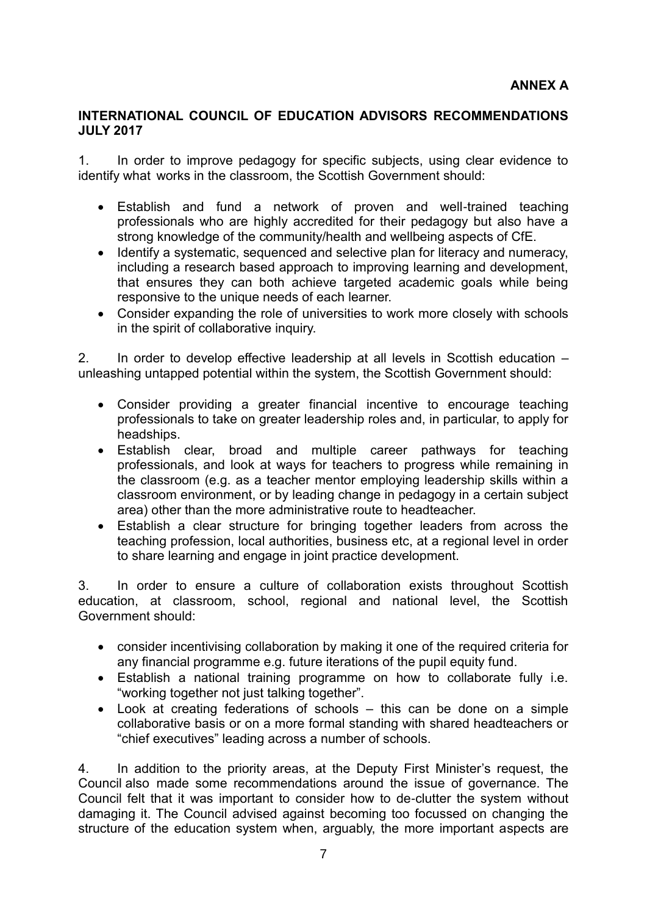#### **INTERNATIONAL COUNCIL OF EDUCATION ADVISORS RECOMMENDATIONS JULY 2017**

1. In order to improve pedagogy for specific subjects, using clear evidence to identify what works in the classroom, the Scottish Government should:

- Establish and fund a network of proven and well-trained teaching professionals who are highly accredited for their pedagogy but also have a strong knowledge of the community/health and wellbeing aspects of CfE.
- Identify a systematic, sequenced and selective plan for literacy and numeracy, including a research based approach to improving learning and development, that ensures they can both achieve targeted academic goals while being responsive to the unique needs of each learner.
- Consider expanding the role of universities to work more closely with schools in the spirit of collaborative inquiry.

2. In order to develop effective leadership at all levels in Scottish education – unleashing untapped potential within the system, the Scottish Government should:

- Consider providing a greater financial incentive to encourage teaching professionals to take on greater leadership roles and, in particular, to apply for headships.
- Establish clear, broad and multiple career pathways for teaching professionals, and look at ways for teachers to progress while remaining in the classroom (e.g. as a teacher mentor employing leadership skills within a classroom environment, or by leading change in pedagogy in a certain subject area) other than the more administrative route to headteacher.
- Establish a clear structure for bringing together leaders from across the teaching profession, local authorities, business etc, at a regional level in order to share learning and engage in joint practice development.

3. In order to ensure a culture of collaboration exists throughout Scottish education, at classroom, school, regional and national level, the Scottish Government should:

- consider incentivising collaboration by making it one of the required criteria for any financial programme e.g. future iterations of the pupil equity fund.
- Establish a national training programme on how to collaborate fully i.e. "working together not just talking together".
- Look at creating federations of schools this can be done on a simple collaborative basis or on a more formal standing with shared headteachers or "chief executives" leading across a number of schools.

4. In addition to the priority areas, at the Deputy First Minister's request, the Council also made some recommendations around the issue of governance. The Council felt that it was important to consider how to de-clutter the system without damaging it. The Council advised against becoming too focussed on changing the structure of the education system when, arguably, the more important aspects are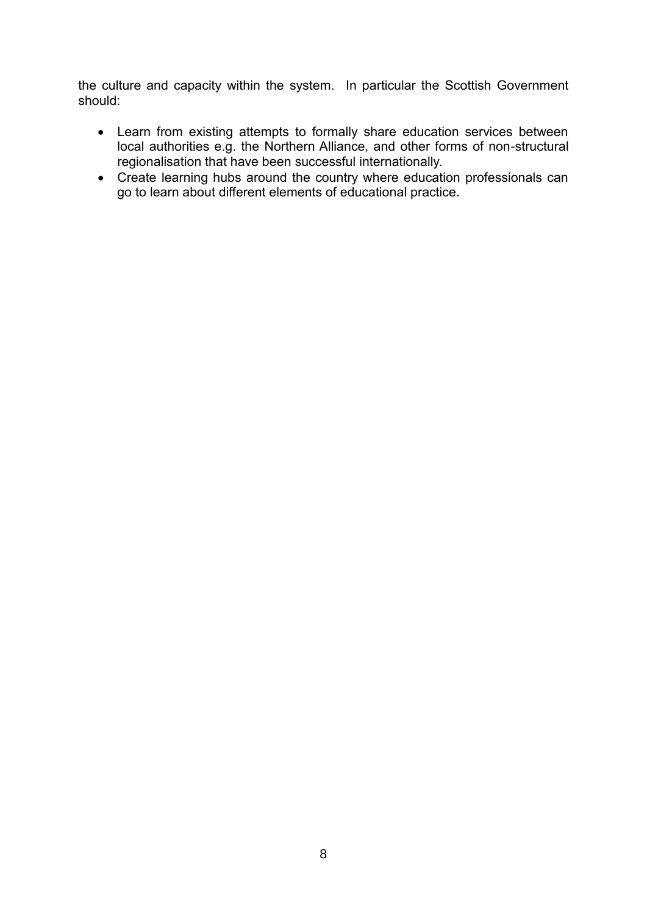the culture and capacity within the system. In particular the Scottish Government should:

- Learn from existing attempts to formally share education services between local authorities e.g. the Northern Alliance, and other forms of non-structural regionalisation that have been successful internationally.
- Create learning hubs around the country where education professionals can go to learn about different elements of educational practice.